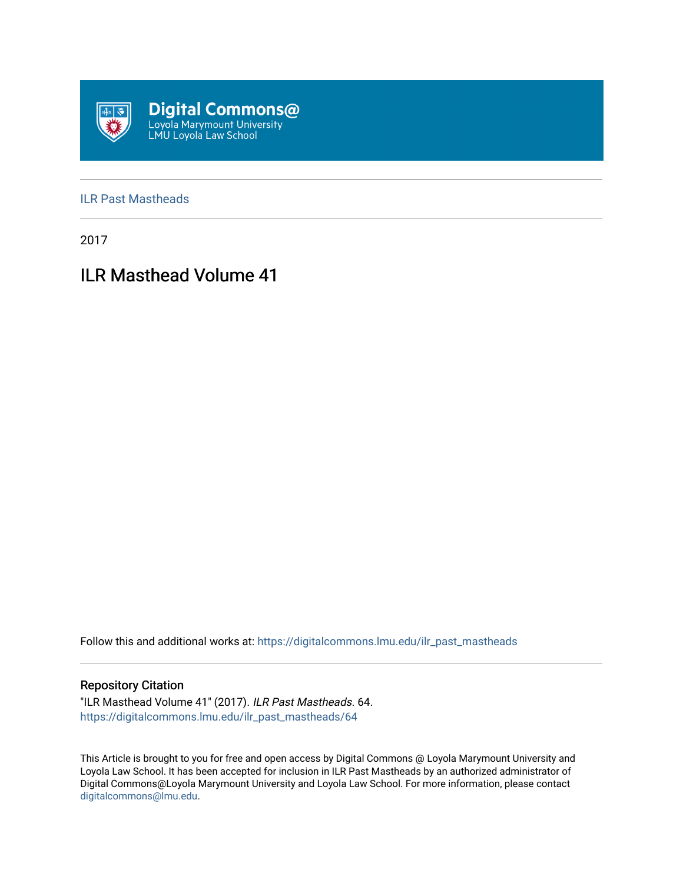

## [ILR Past Mastheads](https://digitalcommons.lmu.edu/ilr_past_mastheads)

2017

# ILR Masthead Volume 41

Follow this and additional works at: [https://digitalcommons.lmu.edu/ilr\\_past\\_mastheads](https://digitalcommons.lmu.edu/ilr_past_mastheads?utm_source=digitalcommons.lmu.edu%2Filr_past_mastheads%2F64&utm_medium=PDF&utm_campaign=PDFCoverPages)

## Repository Citation

"ILR Masthead Volume 41" (2017). ILR Past Mastheads. 64. [https://digitalcommons.lmu.edu/ilr\\_past\\_mastheads/64](https://digitalcommons.lmu.edu/ilr_past_mastheads/64?utm_source=digitalcommons.lmu.edu%2Filr_past_mastheads%2F64&utm_medium=PDF&utm_campaign=PDFCoverPages) 

This Article is brought to you for free and open access by Digital Commons @ Loyola Marymount University and Loyola Law School. It has been accepted for inclusion in ILR Past Mastheads by an authorized administrator of Digital Commons@Loyola Marymount University and Loyola Law School. For more information, please contact [digitalcommons@lmu.edu](mailto:digitalcommons@lmu.edu).